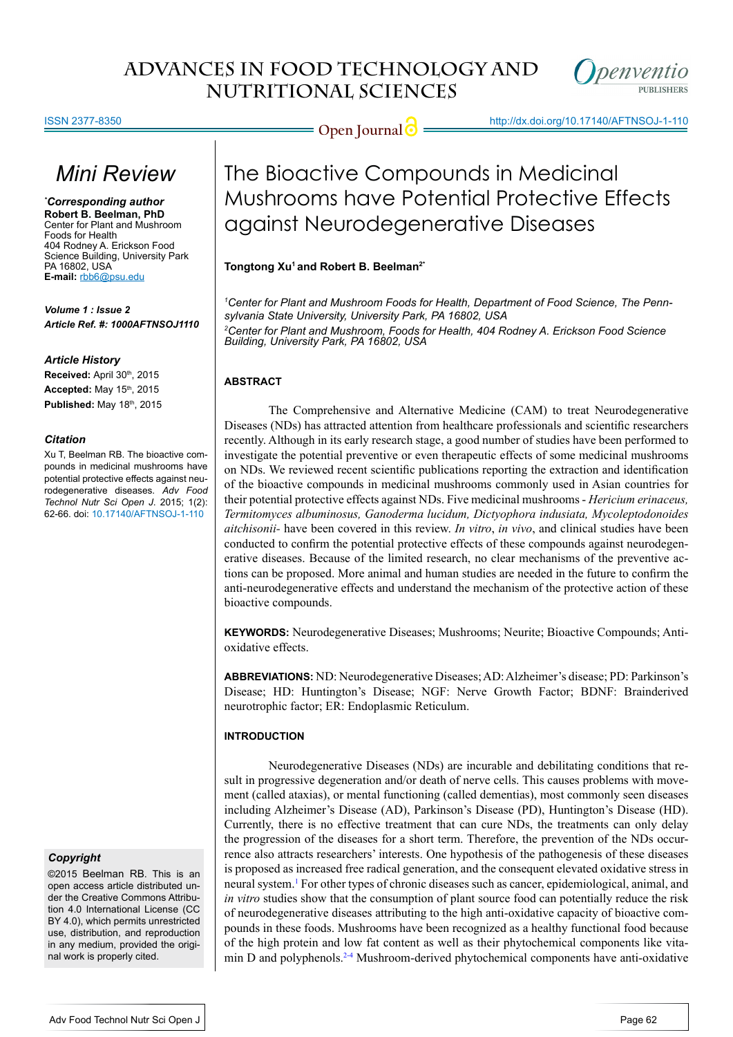

ISSN 2377-8350

Open Journal  $\bigcirc$  http://dx.doi.org/10.17140/AFTNSOJ-1-110

# *Mini Review*

*\* Corresponding author* **Robert B. Beelman, PhD** Center for Plant and Mushroom Foods for Health 404 Rodney A. Erickson Food Science Building, University Park PA 16802, USA **E-mail:** rbb6@psu.edu

*Volume 1 : Issue 2 Article Ref. #: 1000AFTNSOJ1110*

### *Article History*

Received: April 30<sup>th</sup>, 2015 **Accepted:** May 15th, 2015 **Published:** May 18th, 2015

#### *Citation*

Xu T, Beelman RB. The bioactive compounds in medicinal mushrooms have potential protective effects against neurodegenerative diseases. *Adv Food Technol Nutr Sci Open J*. 2015; 1(2): 62-66. doi: [10.17140/AFTNSOJ-1-110](http://openventio.org/Volume1-Issue2/The-Bioactive-Compounds-in-Medicinal-Mushrooms-have-Potential-Protective-Effects-against-Neurodegenerative-Diseases-AFTNSOJ-1-110.pdf)

# *Copyright*

©2015 Beelman RB. This is an open access article distributed under the Creative Commons Attribution 4.0 International License (CC BY 4.0), which permits unrestricted use, distribution, and reproduction in any medium, provided the original work is properly cited.

# The Bioactive Compounds in Medicinal Mushrooms have Potential Protective Effects against Neurodegenerative Diseases

## **Tongtong Xu1 and Robert B. Beelman2\***

*1 Center for Plant and Mushroom Foods for Health, Department of Food Science, The Pennsylvania State University, University Park, PA 16802, USA 2 Center for Plant and Mushroom, Foods for Health, 404 Rodney A. Erickson Food Science Building, University Park, PA 16802, USA*

# **ABSTRACT**

The Comprehensive and Alternative Medicine (CAM) to treat Neurodegenerative Diseases (NDs) has attracted attention from healthcare professionals and scientific researchers recently. Although in its early research stage, a good number of studies have been performed to investigate the potential preventive or even therapeutic effects of some medicinal mushrooms on NDs. We reviewed recent scientific publications reporting the extraction and identification of the bioactive compounds in medicinal mushrooms commonly used in Asian countries for their potential protective effects against NDs. Five medicinal mushrooms - *Hericium erinaceus, Termitomyces albuminosus, Ganoderma lucidum, Dictyophora indusiata, Mycoleptodonoides aitchisonii-* have been covered in this review. *In vitro*, *in vivo*, and clinical studies have been conducted to confirm the potential protective effects of these compounds against neurodegenerative diseases. Because of the limited research, no clear mechanisms of the preventive actions can be proposed. More animal and human studies are needed in the future to confirm the anti-neurodegenerative effects and understand the mechanism of the protective action of these bioactive compounds.

**KEYWORDS:** Neurodegenerative Diseases; Mushrooms; Neurite; Bioactive Compounds; Antioxidative effects.

**ABBREVIATIONS:** ND: Neurodegenerative Diseases; AD: Alzheimer's disease; PD: Parkinson's Disease; HD: Huntington's Disease; NGF: Nerve Growth Factor; BDNF: Brainderived neurotrophic factor; ER: Endoplasmic Reticulum.

# **INTRODUCTION**

Neurodegenerative Diseases (NDs) are incurable and debilitating conditions that result in progressive degeneration and/or death of nerve cells. This causes problems with movement (called ataxias), or mental functioning (called dementias), most commonly seen diseases including Alzheimer's Disease (AD), Parkinson's Disease (PD), Huntington's Disease (HD). Currently, there is no effective treatment that can cure NDs, the treatments can only delay the progression of the diseases for a short term. Therefore, the prevention of the NDs occurrence also attracts researchers' interests. One hypothesis of the pathogenesis of these diseases is proposed as increased free radical generation, and the consequent elevated oxidative stress in neural system.<sup>[1](#page-3-0)</sup> For other types of chronic diseases such as cancer, epidemiological, animal, and *in vitro* studies show that the consumption of plant source food can potentially reduce the risk of neurodegenerative diseases attributing to the high anti-oxidative capacity of bioactive compounds in these foods. Mushrooms have been recognized as a healthy functional food because of the high protein and low fat content as well as their phytochemical components like vitamin D and polyphenols. $24$  Mushroom-derived phytochemical components have anti-oxidative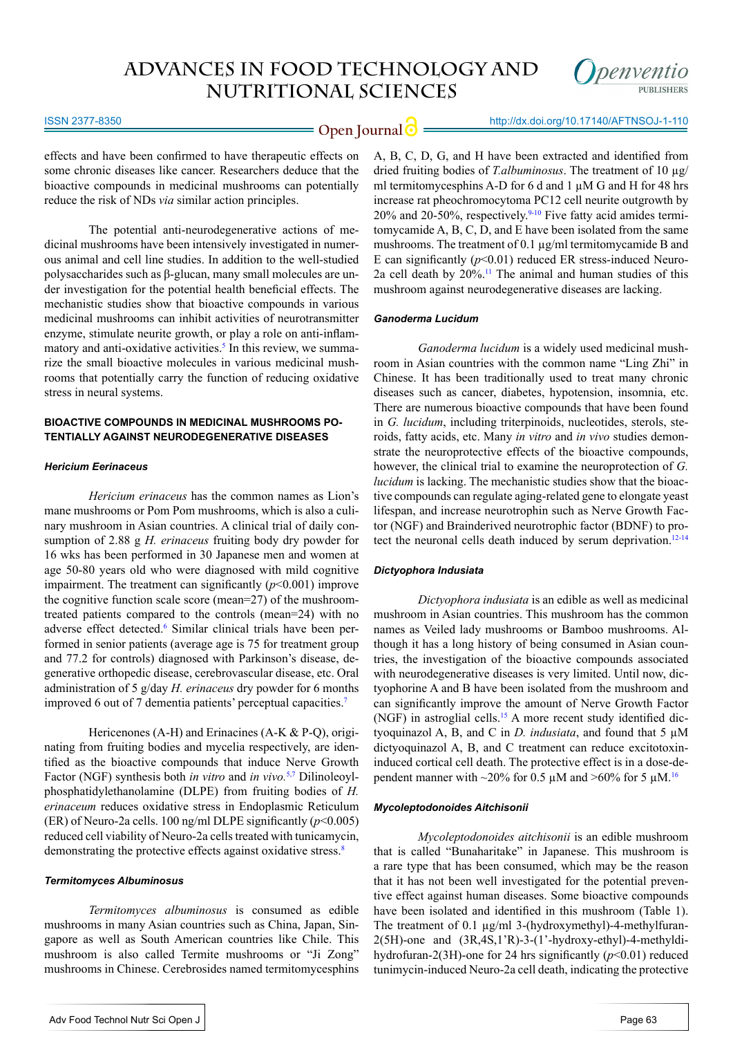

#### ISSN 2377-8350

effects and have been confirmed to have therapeutic effects on some chronic diseases like cancer. Researchers deduce that the bioactive compounds in medicinal mushrooms can potentially reduce the risk of NDs *via* similar action principles.

The potential anti-neurodegenerative actions of medicinal mushrooms have been intensively investigated in numerous animal and cell line studies. In addition to the well-studied polysaccharides such as β-glucan, many small molecules are under investigation for the potential health beneficial effects. The mechanistic studies show that bioactive compounds in various medicinal mushrooms can inhibit activities of neurotransmitter enzyme, stimulate neurite growth, or play a role on anti-inflam-matory and anti-oxidative activities.<sup>[5](#page-3-2)</sup> In this review, we summarize the small bioactive molecules in various medicinal mushrooms that potentially carry the function of reducing oxidative stress in neural systems.

## **BIOACTIVE COMPOUNDS IN MEDICINAL MUSHROOMS PO-TENTIALLY AGAINST NEURODEGENERATIVE DISEASES**

#### *Hericium Eerinaceus*

*Hericium erinaceus* has the common names as Lion's mane mushrooms or Pom Pom mushrooms, which is also a culinary mushroom in Asian countries. A clinical trial of daily consumption of 2.88 g *H. erinaceus* fruiting body dry powder for 16 wks has been performed in 30 Japanese men and women at age 50-80 years old who were diagnosed with mild cognitive impairment. The treatment can significantly (*p*<0.001) improve the cognitive function scale score (mean=27) of the mushroomtreated patients compared to the controls (mean=24) with no adverse effect detected.<sup>6</sup> Similar clinical trials have been performed in senior patients (average age is 75 for treatment group and 77.2 for controls) diagnosed with Parkinson's disease, degenerative orthopedic disease, cerebrovascular disease, etc. Oral administration of 5 g/day *H. erinaceus* dry powder for 6 months improved 6 out of 7 dementia patients' perceptual capacities.<sup>7</sup>

Hericenones (A-H) and Erinacines (A-K & P-Q), originating from fruiting bodies and mycelia respectively, are identified as the bioactive compounds that induce Nerve Growth Factor (NGF) synthesis both *in vitro* and *in vivo.*[5,](#page-3-2)[7](#page-3-3) Dilinoleoylphosphatidylethanolamine (DLPE) from fruiting bodies of *H. erinaceum* reduces oxidative stress in Endoplasmic Reticulum (ER) of Neuro-2a cells. 100 ng/ml DLPE significantly (*p*<0.005) reduced cell viability of Neuro-2a cells treated with tunicamycin, demonstrating the protective effects against oxidative stress.<sup>8</sup>

#### *Termitomyces Albuminosus*

*Termitomyces albuminosus* is consumed as edible mushrooms in many Asian countries such as China, Japan, Singapore as well as South American countries like Chile. This mushroom is also called Termite mushrooms or "Ji Zong" mushrooms in Chinese. Cerebrosides named termitomycesphins

Adv Food Technol Nutr Sci Open J

A, B, C, D, G, and H have been extracted and identified from dried fruiting bodies of *T.albuminosus*. The treatment of 10 µg/ ml termitomycesphins A-D for 6 d and 1 µM G and H for 48 hrs increase rat pheochromocytoma PC12 cell neurite outgrowth by 20% and 20-50%, respectively.<sup>9-10</sup> Five fatty acid amides termitomycamide A, B, C, D, and E have been isolated from the same mushrooms. The treatment of 0.1 µg/ml termitomycamide B and E can significantly  $(p<0.01)$  reduced ER stress-induced Neuro-2a cell death by  $20\%$ .<sup>11</sup> The animal and human studies of this mushroom against neurodegenerative diseases are lacking.

#### *Ganoderma Lucidum*

*Ganoderma lucidum* is a widely used medicinal mushroom in Asian countries with the common name "Ling Zhi" in Chinese. It has been traditionally used to treat many chronic diseases such as cancer, diabetes, hypotension, insomnia, etc. There are numerous bioactive compounds that have been found in *G. lucidum*, including triterpinoids, nucleotides, sterols, steroids, fatty acids, etc. Many *in vitro* and *in vivo* studies demonstrate the neuroprotective effects of the bioactive compounds, however, the clinical trial to examine the neuroprotection of *G. lucidum* is lacking. The mechanistic studies show that the bioactive compounds can regulate aging-related gene to elongate yeast lifespan, and increase neurotrophin such as Nerve Growth Factor (NGF) and Brainderived neurotrophic factor (BDNF) to pro-tect the neuronal cells death induced by serum deprivation.<sup>[12-14](#page-3-6)</sup>

#### *Dictyophora Indusiata*

*Dictyophora indusiata* is an edible as well as medicinal mushroom in Asian countries. This mushroom has the common names as Veiled lady mushrooms or Bamboo mushrooms. Although it has a long history of being consumed in Asian countries, the investigation of the bioactive compounds associated with neurodegenerative diseases is very limited. Until now, dictyophorine A and B have been isolated from the mushroom and can significantly improve the amount of Nerve Growth Factor (NGF) in astroglial cells.15 A more recent study identified dictyoquinazol A, B, and C in *D. indusiata*, and found that 5 µM dictyoquinazol A, B, and C treatment can reduce excitotoxininduced cortical cell death. The protective effect is in a dose-dependent manner with ~20% for 0.5  $\mu$ M and >60% for 5  $\mu$ M.<sup>16</sup>

#### *Mycoleptodonoides Aitchisonii*

*Mycoleptodonoides aitchisonii* is an edible mushroom that is called "Bunaharitake" in Japanese. This mushroom is a rare type that has been consumed, which may be the reason that it has not been well investigated for the potential preventive effect against human diseases. Some bioactive compounds have been isolated and identified in this mushroom (Table 1). The treatment of 0.1  $\mu$ g/ml 3-(hydroxymethyl)-4-methylfuran-2(5H)-one and (3R,4S,1'R)-3-(1'-hydroxy-ethyl)-4-methyldihydrofuran-2(3H)-one for 24 hrs significantly (*p*<0.01) reduced tunimycin-induced Neuro-2a cell death, indicating the protective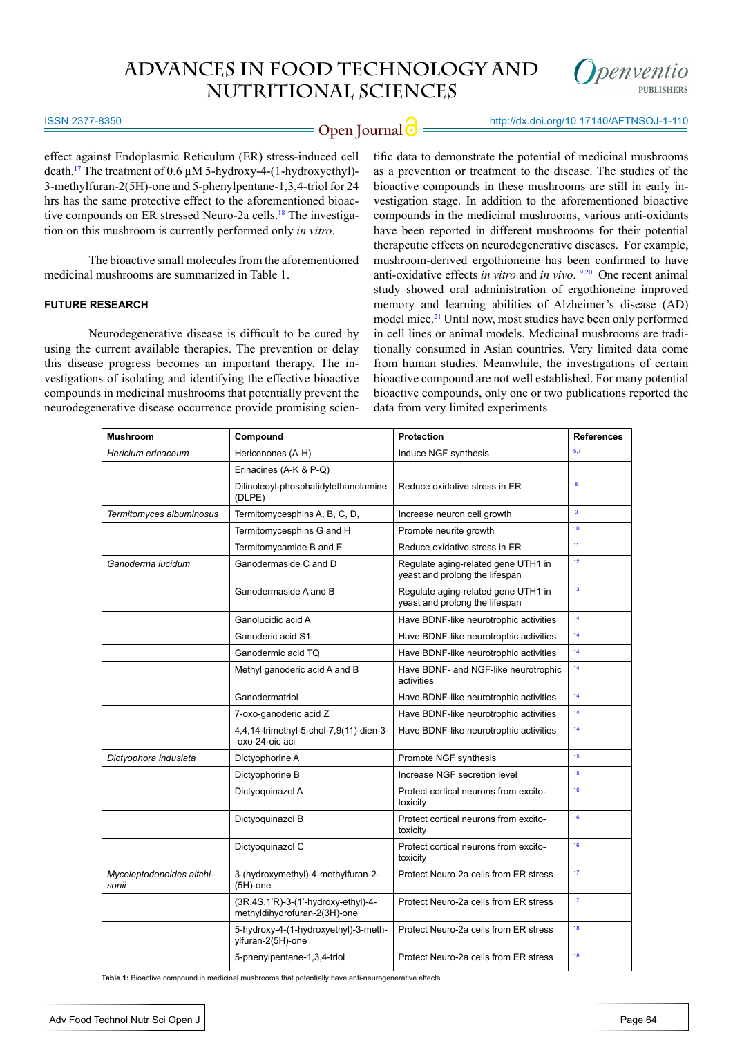

# **Open Journal | implicit** http://dx.doi.org/10.17140/AFTNSOJ-1-110

ISSN 2377-8350

effect against Endoplasmic Reticulum (ER) stress-induced cell death.17 The treatment of 0.6 µM 5-hydroxy-4-(1-hydroxyethyl)- 3-methylfuran-2(5H)-one and 5-phenylpentane-1,3,4-triol for 24 hrs has the same protective effect to the aforementioned bioactive compounds on ER stressed Neuro-2a cells.<sup>18</sup> The investigation on this mushroom is currently performed only *in vitro*.

The bioactive small molecules from the aforementioned medicinal mushrooms are summarized in Table 1.

## **FUTURE RESEARCH**

Neurodegenerative disease is difficult to be cured by using the current available therapies. The prevention or delay this disease progress becomes an important therapy. The investigations of isolating and identifying the effective bioactive compounds in medicinal mushrooms that potentially prevent the neurodegenerative disease occurrence provide promising scien-

tific data to demonstrate the potential of medicinal mushrooms as a prevention or treatment to the disease. The studies of the bioactive compounds in these mushrooms are still in early investigation stage. In addition to the aforementioned bioactive compounds in the medicinal mushrooms, various anti-oxidants have been reported in different mushrooms for their potential therapeutic effects on neurodegenerative diseases. For example, mushroom-derived ergothioneine has been confirmed to have anti-oxidative effects *in vitro* and *in vivo*. [19,20](#page-4-1) One recent animal study showed oral administration of ergothioneine improved memory and learning abilities of Alzheimer's disease (AD) model mice.[21](#page-4-2) Until now, most studies have been only performed in cell lines or animal models. Medicinal mushrooms are traditionally consumed in Asian countries. Very limited data come from human studies. Meanwhile, the investigations of certain bioactive compound are not well established. For many potential bioactive compounds, only one or two publications reported the data from very limited experiments.

| <b>Mushroom</b>                    | Compound                                                            | <b>Protection</b>                                                     | <b>References</b> |
|------------------------------------|---------------------------------------------------------------------|-----------------------------------------------------------------------|-------------------|
| Hericium erinaceum                 | Hericenones (A-H)                                                   | Induce NGF synthesis                                                  | 5.7               |
|                                    | Erinacines (A-K & P-Q)                                              |                                                                       |                   |
|                                    | Dilinoleoyl-phosphatidylethanolamine<br>(DLPE)                      | Reduce oxidative stress in ER                                         | $\bf{8}$          |
| Termitomyces albuminosus           | Termitomycesphins A, B, C, D,                                       | Increase neuron cell growth                                           | $\mathbf{9}$      |
|                                    | Termitomycesphins G and H                                           | Promote neurite growth                                                | 10                |
|                                    | Termitomycamide B and E                                             | Reduce oxidative stress in ER                                         | 11                |
| Ganoderma lucidum                  | Ganodermaside C and D                                               | Regulate aging-related gene UTH1 in<br>yeast and prolong the lifespan | 12                |
|                                    | Ganodermaside A and B                                               | Regulate aging-related gene UTH1 in<br>yeast and prolong the lifespan | 13                |
|                                    | Ganolucidic acid A                                                  | Have BDNF-like neurotrophic activities                                | 14                |
|                                    | Ganoderic acid S1                                                   | Have BDNF-like neurotrophic activities                                | 14                |
|                                    | Ganodermic acid TQ                                                  | Have BDNF-like neurotrophic activities                                | 14                |
|                                    | Methyl ganoderic acid A and B                                       | Have BDNF- and NGF-like neurotrophic<br>activities                    | 14                |
|                                    | Ganodermatriol                                                      | Have BDNF-like neurotrophic activities                                | 14                |
|                                    | 7-oxo-ganoderic acid Z                                              | Have BDNF-like neurotrophic activities                                | 14                |
|                                    | 4,4,14-trimethyl-5-chol-7,9(11)-dien-3-<br>-oxo-24-oic aci          | Have BDNF-like neurotrophic activities                                | 14                |
| Dictyophora indusiata              | Dictyophorine A                                                     | Promote NGF synthesis                                                 | 15                |
|                                    | Dictyophorine B                                                     | Increase NGF secretion level                                          | 15                |
|                                    | Dictyoquinazol A                                                    | Protect cortical neurons from excito-<br>toxicity                     | 16                |
|                                    | Dictyoquinazol B                                                    | Protect cortical neurons from excito-<br>toxicity                     | 16                |
|                                    | Dictyoquinazol C                                                    | Protect cortical neurons from excito-<br>toxicity                     | 16                |
| Mycoleptodonoides aitchi-<br>sonii | 3-(hydroxymethyl)-4-methylfuran-2-<br>$(5H)$ -one                   | Protect Neuro-2a cells from ER stress                                 | 17                |
|                                    | (3R,4S,1'R)-3-(1'-hydroxy-ethyl)-4-<br>methyldihydrofuran-2(3H)-one | Protect Neuro-2a cells from ER stress                                 | 17                |
|                                    | 5-hydroxy-4-(1-hydroxyethyl)-3-meth-<br>ylfuran-2(5H)-one           | Protect Neuro-2a cells from ER stress                                 | 18                |
|                                    | 5-phenylpentane-1,3,4-triol                                         | Protect Neuro-2a cells from ER stress                                 | 18                |

**Table 1:** Bioactive compound in medicinal mushrooms that potentially have anti-neurogenerative effects.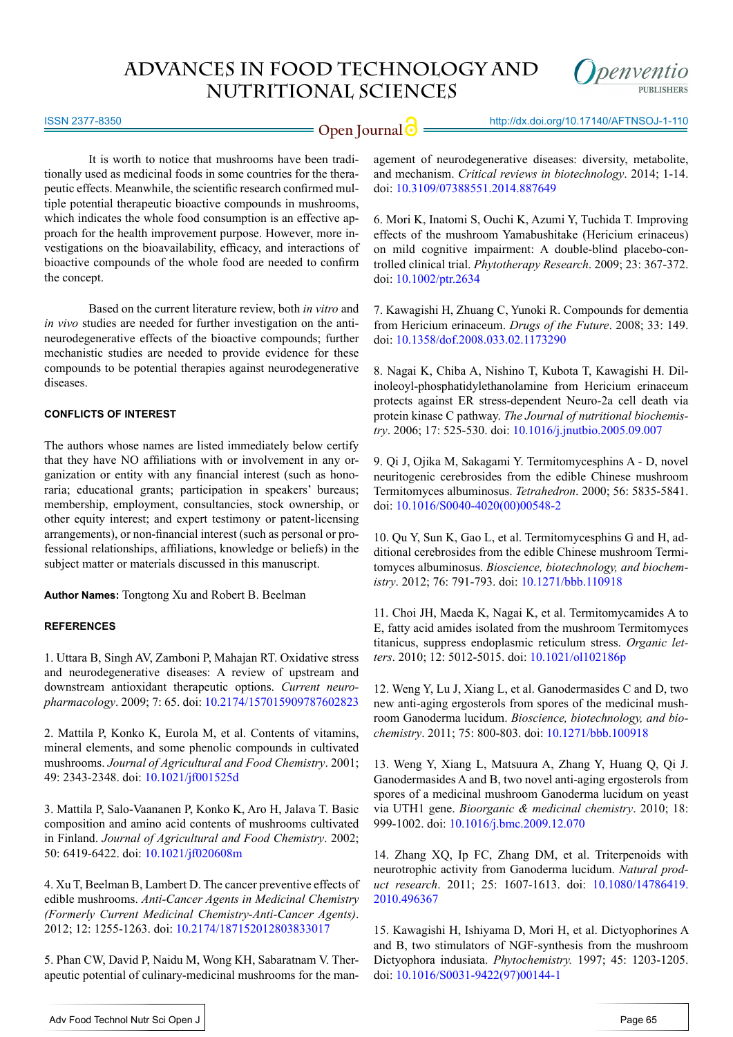

ISSN 2377-8350

# **Open Journal | implicit http://dx.doi.org/10.17140/AFTNSOJ-1-110**

It is worth to notice that mushrooms have been traditionally used as medicinal foods in some countries for the therapeutic effects. Meanwhile, the scientific research confirmed multiple potential therapeutic bioactive compounds in mushrooms, which indicates the whole food consumption is an effective approach for the health improvement purpose. However, more investigations on the bioavailability, efficacy, and interactions of bioactive compounds of the whole food are needed to confirm the concept.

Based on the current literature review, both *in vitro* and *in vivo* studies are needed for further investigation on the antineurodegenerative effects of the bioactive compounds; further mechanistic studies are needed to provide evidence for these compounds to be potential therapies against neurodegenerative diseases.

### **CONFLICTS OF INTEREST**

The authors whose names are listed immediately below certify that they have NO affiliations with or involvement in any organization or entity with any financial interest (such as honoraria; educational grants; participation in speakers' bureaus; membership, employment, consultancies, stock ownership, or other equity interest; and expert testimony or patent-licensing arrangements), or non-financial interest (such as personal or professional relationships, affiliations, knowledge or beliefs) in the subject matter or materials discussed in this manuscript.

**Author Names:** Tongtong Xu and Robert B. Beelman

# **REFERENCES**

<span id="page-3-0"></span>1. Uttara B, Singh AV, Zamboni P, Mahajan RT. Oxidative stress and neurodegenerative diseases: A review of upstream and downstream antioxidant therapeutic options. *Current neuropharmacology*. 2009; 7: 65. doi: [10.2174/157015909787602823](http://www.ncbi.nlm.nih.gov/pubmed/19721819)

<span id="page-3-1"></span>2. Mattila P, Konko K, Eurola M, et al. Contents of vitamins, mineral elements, and some phenolic compounds in cultivated mushrooms. *Journal of Agricultural and Food Chemistry*. 2001; 49: 2343-2348. doi: [10.1021/jf001525d](http://pubs.acs.org/doi/abs/10.1021/jf001525d)

3. Mattila P, Salo-Vaananen P, Konko K, Aro H, Jalava T. Basic composition and amino acid contents of mushrooms cultivated in Finland. *Journal of Agricultural and Food Chemistry*. 2002; 50: 6419-6422. doi: [10.1021/jf020608m](http://pubs.acs.org/doi/abs/10.1021/jf020608m)

4. Xu T, Beelman B, Lambert D. The cancer preventive effects of edible mushrooms. *Anti-Cancer Agents in Medicinal Chemistry (Formerly Current Medicinal Chemistry-Anti-Cancer Agents)*. 2012; 12: 1255-1263. doi: [10.2174/187152012803833017](http://www.eurekaselect.com/104493/article)

<span id="page-3-2"></span>5. Phan CW, David P, Naidu M, Wong KH, Sabaratnam V. Therapeutic potential of culinary-medicinal mushrooms for the management of neurodegenerative diseases: diversity, metabolite, and mechanism. *Critical reviews in biotechnology*. 2014; 1-14. doi: [10.3109/07388551.2014.887649](http://informahealthcare.com/doi/abs/10.3109/07388551.2014.887649)

6. Mori K, Inatomi S, Ouchi K, Azumi Y, Tuchida T. Improving effects of the mushroom Yamabushitake (Hericium erinaceus) on mild cognitive impairment: A double-blind placebo-controlled clinical trial. *Phytotherapy Research*. 2009; 23: 367-372. doi: [10.1002/ptr.2634](http://www.ncbi.nlm.nih.gov/pubmed/18844328)

<span id="page-3-3"></span>7. Kawagishi H, Zhuang C, Yunoki R. Compounds for dementia from Hericium erinaceum. *Drugs of the Future*. 2008; 33: 149. doi: [10.1358/dof.2008.033.02.1173290](http://www.sciencefriday.com/binary-data/ATTACHMENT/file/000/035/35635-1.pdf)

8. Nagai K, Chiba A, Nishino T, Kubota T, Kawagishi H. Dilinoleoyl-phosphatidylethanolamine from Hericium erinaceum protects against ER stress-dependent Neuro-2a cell death via protein kinase C pathway. *The Journal of nutritional biochemistry*. 2006; 17: 525-530. doi: [10.1016/j.jnutbio.2005.09.007](http://www.ncbi.nlm.nih.gov/pubmed/16426828)

<span id="page-3-4"></span>9. Qi J, Ojika M, Sakagami Y. Termitomycesphins A - D, novel neuritogenic cerebrosides from the edible Chinese mushroom Termitomyces albuminosus. *Tetrahedron*. 2000; 56: 5835-5841. doi: [10.1016/S0040-4020\(00\)00548-2](http://www.sciencedirect.com/science/article/pii/S0040402000005482)

<span id="page-3-7"></span>10. Qu Y, Sun K, Gao L, et al. Termitomycesphins G and H, additional cerebrosides from the edible Chinese mushroom Termitomyces albuminosus. *Bioscience, biotechnology, and biochemistry*. 2012; 76: 791-793. doi: [10.1271/bbb.110918](http://www.tandfonline.com/doi/abs/10.1271/bbb.110918?url_ver=Z39.88-2003&rfr_id=ori:rid:crossref.org&rfr_dat=cr_pub%3dpubmed)

<span id="page-3-5"></span>11. Choi JH, Maeda K, Nagai K, et al. Termitomycamides A to E, fatty acid amides isolated from the mushroom Termitomyces titanicus, suppress endoplasmic reticulum stress. *Organic letters*. 2010; 12: 5012-5015. doi: [10.1021/ol102186p](http://www.ncbi.nlm.nih.gov/pubmed/20936815)

<span id="page-3-6"></span>12. Weng Y, Lu J, Xiang L, et al. Ganodermasides C and D, two new anti-aging ergosterols from spores of the medicinal mushroom Ganoderma lucidum. *Bioscience, biotechnology, and biochemistry*. 2011; 75: 800-803. doi: [10.1271/bbb.100918](http://www.tandfonline.com/doi/abs/10.1271/bbb.100918?url_ver=Z39.88-2003&rfr_id=ori:rid:crossref.org&rfr_dat=cr_pub%3dpubmed)

<span id="page-3-8"></span>13. Weng Y, Xiang L, Matsuura A, Zhang Y, Huang Q, Qi J. Ganodermasides A and B, two novel anti-aging ergosterols from spores of a medicinal mushroom Ganoderma lucidum on yeast via UTH1 gene. *Bioorganic & medicinal chemistry*. 2010; 18: 999-1002. doi: [10.1016/j.bmc.2009.12.070](http://www.ncbi.nlm.nih.gov/pubmed/20093034)

14. Zhang XQ, Ip FC, Zhang DM, et al. Triterpenoids with neurotrophic activity from Ganoderma lucidum. *Natural product research*. 2011; 25: 1607-1613. doi: [10.1080/14786419.](http://www.ncbi.nlm.nih.gov/pubmed/21671206) [2010.496367](http://www.ncbi.nlm.nih.gov/pubmed/21671206)

15. Kawagishi H, Ishiyama D, Mori H, et al. Dictyophorines A and B, two stimulators of NGF-synthesis from the mushroom Dictyophora indusiata. *Phytochemistry.* 1997; 45: 1203-1205. doi: [10.1016/S0031-9422\(97\)00144-1](http://www.sciencedirect.com/science/article/pii/S0031942297001441)